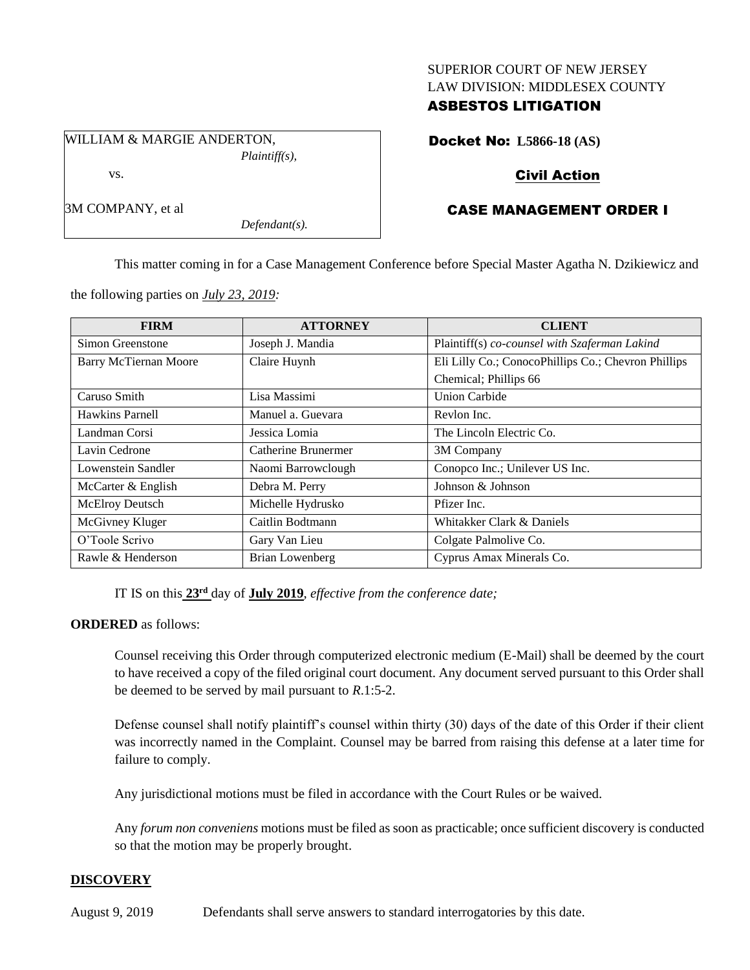#### SUPERIOR COURT OF NEW JERSEY LAW DIVISION: MIDDLESEX COUNTY

## ASBESTOS LITIGATION

WILLIAM & MARGIE ANDERTON, *Plaintiff(s),* vs.

*Defendant(s).*

Docket No: **L5866-18 (AS)**

# Civil Action

# CASE MANAGEMENT ORDER I

This matter coming in for a Case Management Conference before Special Master Agatha N. Dzikiewicz and

the following parties on *July 23, 2019:*

3M COMPANY, et al

| <b>FIRM</b>                  | <b>ATTORNEY</b>        | <b>CLIENT</b>                                       |
|------------------------------|------------------------|-----------------------------------------------------|
| Simon Greenstone             | Joseph J. Mandia       | Plaintiff(s) co-counsel with Szaferman Lakind       |
| <b>Barry McTiernan Moore</b> | Claire Huynh           | Eli Lilly Co.; ConocoPhillips Co.; Chevron Phillips |
|                              |                        | Chemical; Phillips 66                               |
| Caruso Smith                 | Lisa Massimi           | <b>Union Carbide</b>                                |
| Hawkins Parnell              | Manuel a. Guevara      | Revlon Inc.                                         |
| Landman Corsi                | Jessica Lomia          | The Lincoln Electric Co.                            |
| Lavin Cedrone                | Catherine Brunermer    | 3M Company                                          |
| Lowenstein Sandler           | Naomi Barrowclough     | Conopco Inc.; Unilever US Inc.                      |
| McCarter & English           | Debra M. Perry         | Johnson & Johnson                                   |
| McElroy Deutsch              | Michelle Hydrusko      | Pfizer Inc.                                         |
| McGivney Kluger              | Caitlin Bodtmann       | Whitakker Clark & Daniels                           |
| O'Toole Scrivo               | Gary Van Lieu          | Colgate Palmolive Co.                               |
| Rawle & Henderson            | <b>Brian Lowenberg</b> | Cyprus Amax Minerals Co.                            |

IT IS on this **23rd** day of **July 2019**, *effective from the conference date;*

#### **ORDERED** as follows:

Counsel receiving this Order through computerized electronic medium (E-Mail) shall be deemed by the court to have received a copy of the filed original court document. Any document served pursuant to this Order shall be deemed to be served by mail pursuant to *R*.1:5-2.

Defense counsel shall notify plaintiff's counsel within thirty (30) days of the date of this Order if their client was incorrectly named in the Complaint. Counsel may be barred from raising this defense at a later time for failure to comply.

Any jurisdictional motions must be filed in accordance with the Court Rules or be waived.

Any *forum non conveniens* motions must be filed as soon as practicable; once sufficient discovery is conducted so that the motion may be properly brought.

## **DISCOVERY**

August 9, 2019 Defendants shall serve answers to standard interrogatories by this date.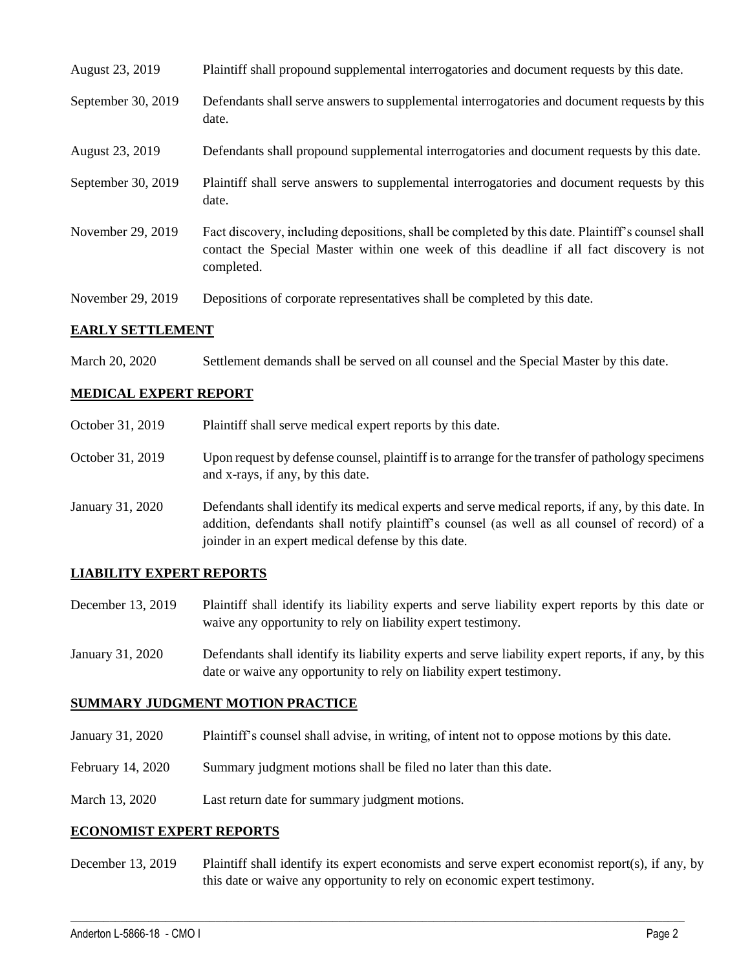| August 23, 2019    | Plaintiff shall propound supplemental interrogatories and document requests by this date.                                                                                                                   |
|--------------------|-------------------------------------------------------------------------------------------------------------------------------------------------------------------------------------------------------------|
| September 30, 2019 | Defendants shall serve answers to supplemental interrogatories and document requests by this<br>date.                                                                                                       |
| August 23, 2019    | Defendants shall propound supplemental interrogatories and document requests by this date.                                                                                                                  |
| September 30, 2019 | Plaintiff shall serve answers to supplemental interrogatories and document requests by this<br>date.                                                                                                        |
| November 29, 2019  | Fact discovery, including depositions, shall be completed by this date. Plaintiff's counsel shall<br>contact the Special Master within one week of this deadline if all fact discovery is not<br>completed. |
| November 29, 2019  | Depositions of corporate representatives shall be completed by this date.                                                                                                                                   |

#### **EARLY SETTLEMENT**

March 20, 2020 Settlement demands shall be served on all counsel and the Special Master by this date.

#### **MEDICAL EXPERT REPORT**

| October 31, 2019 | Plaintiff shall serve medical expert reports by this date.                                                                                                                                                                                               |  |
|------------------|----------------------------------------------------------------------------------------------------------------------------------------------------------------------------------------------------------------------------------------------------------|--|
| October 31, 2019 | Upon request by defense counsel, plaintiff is to arrange for the transfer of pathology specimens<br>and x-rays, if any, by this date.                                                                                                                    |  |
| January 31, 2020 | Defendants shall identify its medical experts and serve medical reports, if any, by this date. In<br>addition, defendants shall notify plaintiff's counsel (as well as all counsel of record) of a<br>joinder in an expert medical defense by this date. |  |

#### **LIABILITY EXPERT REPORTS**

- December 13, 2019 Plaintiff shall identify its liability experts and serve liability expert reports by this date or waive any opportunity to rely on liability expert testimony.
- January 31, 2020 Defendants shall identify its liability experts and serve liability expert reports, if any, by this date or waive any opportunity to rely on liability expert testimony.

## **SUMMARY JUDGMENT MOTION PRACTICE**

- January 31, 2020 Plaintiff's counsel shall advise, in writing, of intent not to oppose motions by this date.
- February 14, 2020 Summary judgment motions shall be filed no later than this date.
- March 13, 2020 Last return date for summary judgment motions.

#### **ECONOMIST EXPERT REPORTS**

December 13, 2019 Plaintiff shall identify its expert economists and serve expert economist report(s), if any, by this date or waive any opportunity to rely on economic expert testimony.

 $\_$  , and the set of the set of the set of the set of the set of the set of the set of the set of the set of the set of the set of the set of the set of the set of the set of the set of the set of the set of the set of th